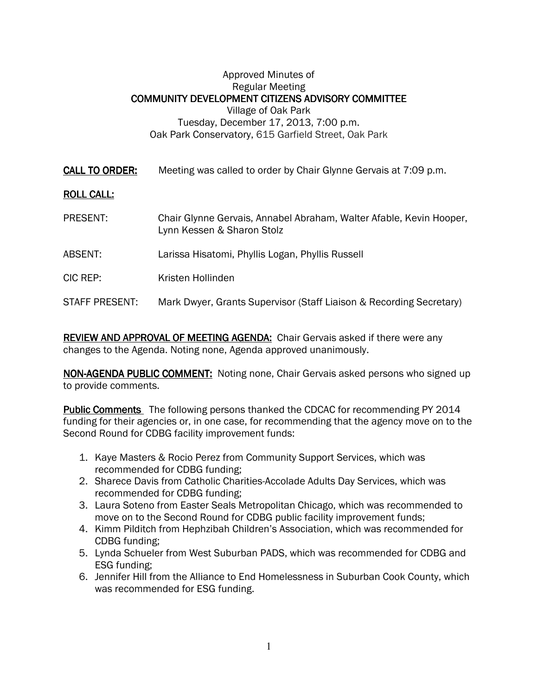## Approved Minutes of Regular Meeting COMMUNITY DEVELOPMENT CITIZENS ADVISORY COMMITTEE Village of Oak Park Tuesday, December 17, 2013, 7:00 p.m. Oak Park Conservatory, 615 Garfield Street, Oak Park

| <u>CALL TO ORDER:</u> | Meeting was called to order by Chair Glynne Gervais at 7:09 p.m. |  |
|-----------------------|------------------------------------------------------------------|--|
|-----------------------|------------------------------------------------------------------|--|

## **ROLL CALL:**

- PRESENT: Chair Glynne Gervais, Annabel Abraham, Walter Afable, Kevin Hooper, Lynn Kessen & Sharon Stolz
- ABSENT: Larissa Hisatomi, Phyllis Logan, Phyllis Russell
- CIC REP: Kristen Hollinden
- STAFF PRESENT: Mark Dwyer, Grants Supervisor (Staff Liaison & Recording Secretary)

REVIEW AND APPROVAL OF MEETING AGENDA: Chair Gervais asked if there were any changes to the Agenda. Noting none, Agenda approved unanimously.

NON-AGENDA PUBLIC COMMENT: Noting none, Chair Gervais asked persons who signed up to provide comments.

**Public Comments** The following persons thanked the CDCAC for recommending PY 2014 funding for their agencies or, in one case, for recommending that the agency move on to the Second Round for CDBG facility improvement funds:

- 1. Kaye Masters & Rocio Perez from Community Support Services, which was recommended for CDBG funding;
- 2. Sharece Davis from Catholic Charities-Accolade Adults Day Services, which was recommended for CDBG funding;
- 3. Laura Soteno from Easter Seals Metropolitan Chicago, which was recommended to move on to the Second Round for CDBG public facility improvement funds;
- 4. Kimm Pilditch from Hephzibah Children's Association, which was recommended for CDBG funding;
- 5. Lynda Schueler from West Suburban PADS, which was recommended for CDBG and ESG funding;
- 6. Jennifer Hill from the Alliance to End Homelessness in Suburban Cook County, which was recommended for ESG funding.